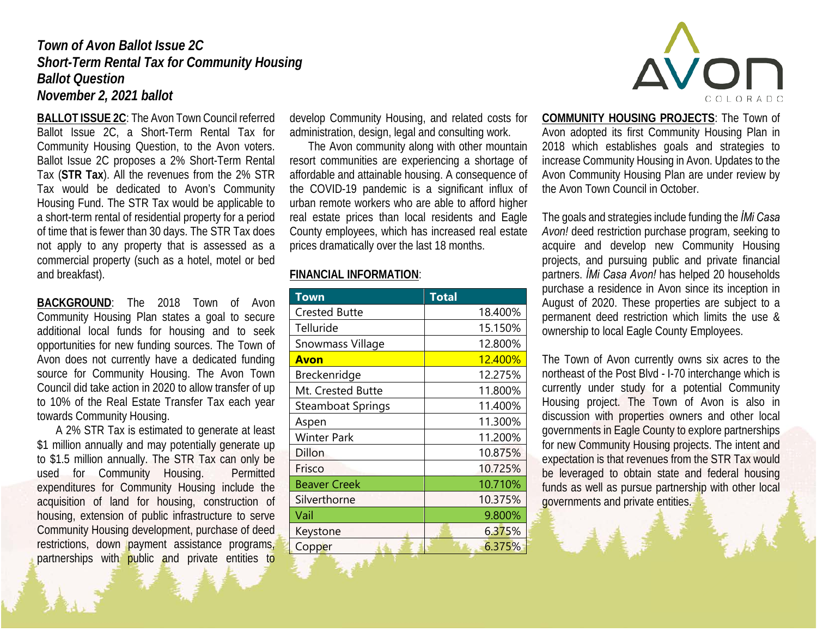## *Town of Avon Ballot Issue 2C Short-Term Rental Tax for Community Housing Ballot Question November 2, 2021 ballot*

**BALLOT ISSUE 2C**: The Avon Town Council referred Ballot Issue 2C, a Short-Term Rental Tax for Community Housing Question, to the Avon voters. Ballot Issue 2C proposes a 2% Short-Term Rental Tax (**STR Tax**). All the revenues from the 2% STR Tax would be dedicated to Avon's Community Housing Fund. The STR Tax would be applicable to a short-term rental of residential property for a period of time that is fewer than 30 days. The STR Tax does not apply to any property that is assessed as a commercial property (such as a hotel, motel or bed and breakfast).

**BACKGROUND**: The 2018 Town of Avon Community Housing Plan states a goal to secure additional local funds for housing and to seek opportunities for new funding sources. The Town of Avon does not currently have a dedicated funding source for Community Housing. The Avon Town Council did take action in 2020 to allow transfer of up to 10% of the Real Estate Transfer Tax each year towards Community Housing.

A 2% STR Tax is estimated to generate at least \$1 million annually and may potentially generate up to \$1.5 million annually. The STR Tax can only be used for Community Housing. Permitted expenditures for Community Housing include the acquisition of land for housing, construction of housing, extension of public infrastructure to serve Community Housing development, purchase of deed restrictions, down payment assistance programs, partnerships with public and private entities to

develop Community Housing, and related costs for administration, design, legal and consulting work.

The Avon community along with other mountain resort communities are experiencing a shortage of affordable and attainable housing. A consequence of the COVID-19 pandemic is a significant influx of urban remote workers who are able to afford higher real estate prices than local residents and Eagle County employees, which has increased real estate prices dramatically over the last 18 months.

## **FINANCIAL INFORMATION**:

| Town                 | <b>Total</b>   |
|----------------------|----------------|
| <b>Crested Butte</b> | 18.400%        |
| Telluride            | 15.150%        |
| Snowmass Village     | 12.800%        |
| <b>Avon</b>          | <u>12.400%</u> |
| Breckenridge         | 12.275%        |
| Mt. Crested Butte    | 11.800%        |
| Steamboat Springs    | 11.400%        |
| Aspen                | 11.300%        |
| Winter Park          | 11.200%        |
| Dillon               | 10.875%        |
| Frisco               | 10.725%        |
| <b>Beaver Creek</b>  | 10.710%        |
| Silverthorne         | 10.375%        |
| Vail                 | 9.800%         |
| Keystone             | 6.375%         |
| Copper               | 6.375%         |



**COMMUNITY HOUSING PROJECTS**: The Town of Avon adopted its first Community Housing Plan in 2018 which establishes goals and strategies to increase Community Housing in Avon. Updates to the Avon Community Housing Plan are under review by the Avon Town Council in October.

The goals and strategies include funding the *İMi Casa Avon!* deed restriction purchase program, seeking to acquire and develop new Community Housing projects, and pursuing public and private financial partners. *İMi Casa Avon!* has helped 20 households purchase a residence in Avon since its inception in August of 2020. These properties are subject to a permanent deed restriction which limits the use & ownership to local Eagle County Employees.

The Town of Avon currently owns six acres to the northeast of the Post Blvd - I-70 interchange which is currently under study for a potential Community Housing project. The Town of Avon is also in discussion with properties owners and other local governments in Eagle County to explore partnerships for new Community Housing projects. The intent and expectation is that revenues from the STR Tax would be leveraged to obtain state and federal housing funds as well as pursue partnership with other local governments and private entities.